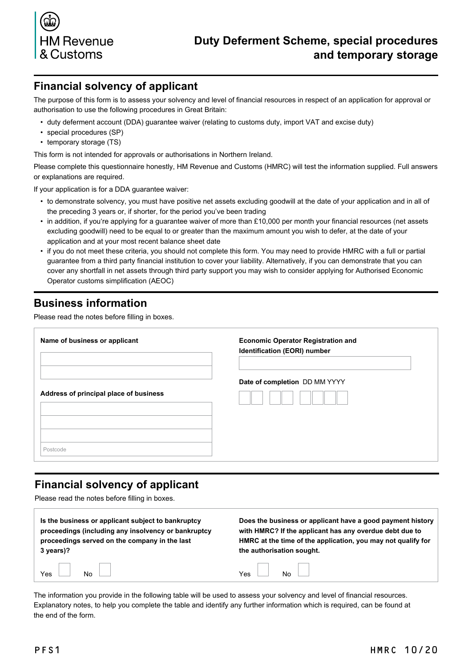

### **Financial solvency of applicant**

The purpose of this form is to assess your solvency and level of financial resources in respect of an application for approval or authorisation to use the following procedures in Great Britain:

- duty deferment account (DDA) guarantee waiver (relating to customs duty, import VAT and excise duty)
- special procedures (SP)
- temporary storage (TS)

This form is not intended for approvals or authorisations in Northern Ireland.

Please complete this questionnaire honestly, HM Revenue and Customs (HMRC) will test the information supplied. Full answers or explanations are required.

If your application is for a DDA guarantee waiver:

- to demonstrate solvency, you must have positive net assets excluding goodwill at the date of your application and in all of the preceding 3 years or, if shorter, for the period you've been trading
- in addition, if you're applying for a guarantee waiver of more than £10,000 per month your financial resources (net assets excluding goodwill) need to be equal to or greater than the maximum amount you wish to defer, at the date of your application and at your most recent balance sheet date
- if you do not meet these criteria, you should not complete this form. You may need to provide HMRC with a full or partial guarantee from a third party financial institution to cover your liability. Alternatively, if you can demonstrate that you can cover any shortfall in net assets through third party support you may wish to consider applying for [Authorised Economic](https://www.gov.uk/guidance/apply-for-authorised-economic-operator-status) [Operator customs simplification](https://www.gov.uk/guidance/apply-for-authorised-economic-operator-status) (AEOC)

### **Business information**

Please read the notes before filling in boxes.

| Name of business or applicant          | <b>Economic Operator Registration and</b><br>Identification (EORI) number |  |  |  |
|----------------------------------------|---------------------------------------------------------------------------|--|--|--|
| Address of principal place of business | Date of completion DD MM YYYY                                             |  |  |  |
| Postcode                               |                                                                           |  |  |  |

## **Financial solvency of applicant**

Please read the notes before filling in boxes.

| Is the business or applicant subject to bankruptcy  | Does the business or applicant have a good payment history   |  |  |  |
|-----------------------------------------------------|--------------------------------------------------------------|--|--|--|
| proceedings (including any insolvency or bankruptcy | with HMRC? If the applicant has any overdue debt due to      |  |  |  |
| proceedings served on the company in the last       | HMRC at the time of the application, you may not qualify for |  |  |  |
| 3 years)?                                           | the authorisation sought.                                    |  |  |  |
| $Yes$ No $\Box$                                     | $Yes$ No $\Box$                                              |  |  |  |

The information you provide in the following table will be used to assess your solvency and level of financial resources. Explanatory notes, to help you complete the table and identify any further information which is required, can be found at the end of the form.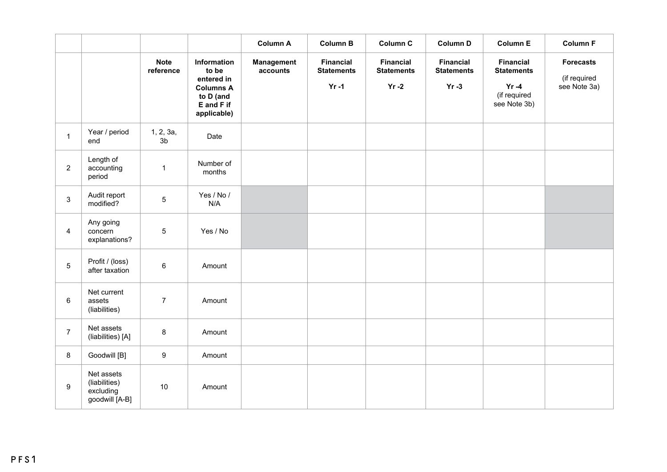|                 |                                                            |                             |                                                                                                  | <b>Column A</b>        | <b>Column B</b>                                   | Column C                                          | <b>Column D</b>                                   | <b>Column E</b>                                                                   | <b>Column F</b>                                  |
|-----------------|------------------------------------------------------------|-----------------------------|--------------------------------------------------------------------------------------------------|------------------------|---------------------------------------------------|---------------------------------------------------|---------------------------------------------------|-----------------------------------------------------------------------------------|--------------------------------------------------|
|                 |                                                            | <b>Note</b><br>reference    | Information<br>to be<br>entered in<br><b>Columns A</b><br>to D (and<br>E and F if<br>applicable) | Management<br>accounts | <b>Financial</b><br><b>Statements</b><br>$Yr - 1$ | <b>Financial</b><br><b>Statements</b><br>$Yr - 2$ | <b>Financial</b><br><b>Statements</b><br>$Yr - 3$ | <b>Financial</b><br><b>Statements</b><br>$Yr - 4$<br>(if required<br>see Note 3b) | <b>Forecasts</b><br>(if required<br>see Note 3a) |
| $\mathbf{1}$    | Year / period<br>end                                       | 1, 2, 3a,<br>3 <sub>b</sub> | Date                                                                                             |                        |                                                   |                                                   |                                                   |                                                                                   |                                                  |
| $\overline{2}$  | Length of<br>accounting<br>period                          | $\mathbf 1$                 | Number of<br>months                                                                              |                        |                                                   |                                                   |                                                   |                                                                                   |                                                  |
| 3               | Audit report<br>modified?                                  | 5                           | Yes / No /<br>N/A                                                                                |                        |                                                   |                                                   |                                                   |                                                                                   |                                                  |
| $\overline{4}$  | Any going<br>concern<br>explanations?                      | 5                           | Yes / No                                                                                         |                        |                                                   |                                                   |                                                   |                                                                                   |                                                  |
| $5\phantom{.0}$ | Profit / (loss)<br>after taxation                          | $\,6\,$                     | Amount                                                                                           |                        |                                                   |                                                   |                                                   |                                                                                   |                                                  |
| 6               | Net current<br>assets<br>(liabilities)                     | $\overline{7}$              | Amount                                                                                           |                        |                                                   |                                                   |                                                   |                                                                                   |                                                  |
| $\overline{7}$  | Net assets<br>(liabilities) [A]                            | 8                           | Amount                                                                                           |                        |                                                   |                                                   |                                                   |                                                                                   |                                                  |
| 8               | Goodwill [B]                                               | $\boldsymbol{9}$            | Amount                                                                                           |                        |                                                   |                                                   |                                                   |                                                                                   |                                                  |
| 9               | Net assets<br>(liabilities)<br>excluding<br>goodwill [A-B] | 10                          | Amount                                                                                           |                        |                                                   |                                                   |                                                   |                                                                                   |                                                  |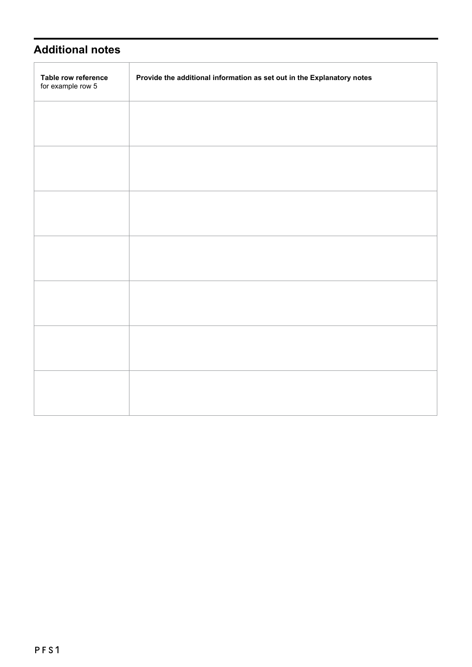## **Additional notes**

Î.

| Table row reference<br>for example row 5 | Provide the additional information as set out in the Explanatory notes |
|------------------------------------------|------------------------------------------------------------------------|
|                                          |                                                                        |
|                                          |                                                                        |
|                                          |                                                                        |
|                                          |                                                                        |
|                                          |                                                                        |
|                                          |                                                                        |
|                                          |                                                                        |
|                                          |                                                                        |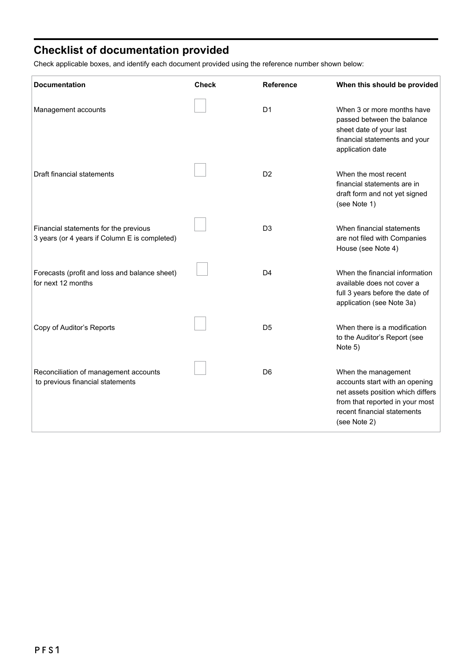# **Checklist of documentation provided**

Check applicable boxes, and identify each document provided using the reference number shown below:

| <b>Documentation</b>                                                                   | <b>Check</b> | <b>Reference</b> | When this should be provided                                                                                                                                                 |
|----------------------------------------------------------------------------------------|--------------|------------------|------------------------------------------------------------------------------------------------------------------------------------------------------------------------------|
| Management accounts                                                                    |              | D <sub>1</sub>   | When 3 or more months have<br>passed between the balance<br>sheet date of your last<br>financial statements and your<br>application date                                     |
| Draft financial statements                                                             |              | D <sub>2</sub>   | When the most recent<br>financial statements are in<br>draft form and not yet signed<br>(see Note 1)                                                                         |
| Financial statements for the previous<br>3 years (or 4 years if Column E is completed) |              | D <sub>3</sub>   | When financial statements<br>are not filed with Companies<br>House (see Note 4)                                                                                              |
| Forecasts (profit and loss and balance sheet)<br>for next 12 months                    |              | D <sub>4</sub>   | When the financial information<br>available does not cover a<br>full 3 years before the date of<br>application (see Note 3a)                                                 |
| Copy of Auditor's Reports                                                              |              | D <sub>5</sub>   | When there is a modification<br>to the Auditor's Report (see<br>Note 5)                                                                                                      |
| Reconciliation of management accounts<br>to previous financial statements              |              | D <sub>6</sub>   | When the management<br>accounts start with an opening<br>net assets position which differs<br>from that reported in your most<br>recent financial statements<br>(see Note 2) |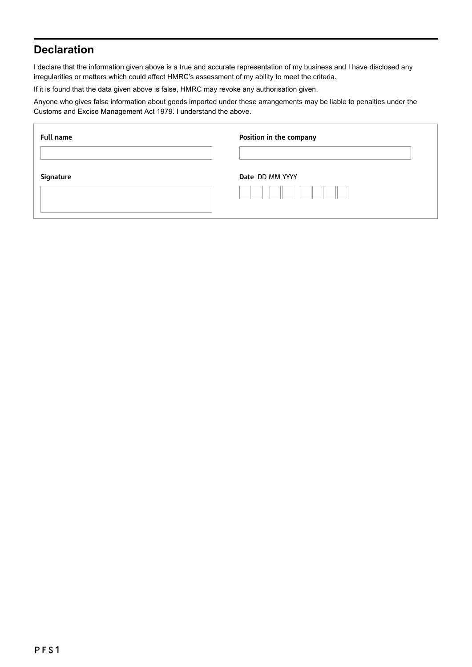## **Declaration**

I declare that the information given above is a true and accurate representation of my business and I have disclosed any irregularities or matters which could affect HMRC's assessment of my ability to meet the criteria.

If it is found that the data given above is false, HMRC may revoke any authorisation given.

Anyone who gives false information about goods imported under these arrangements may be liable to penalties under the Customs and Excise Management Act 1979. I understand the above.

| <b>Full name</b> | Position in the company |
|------------------|-------------------------|
| Signature        | <b>Date DD MM YYYY</b>  |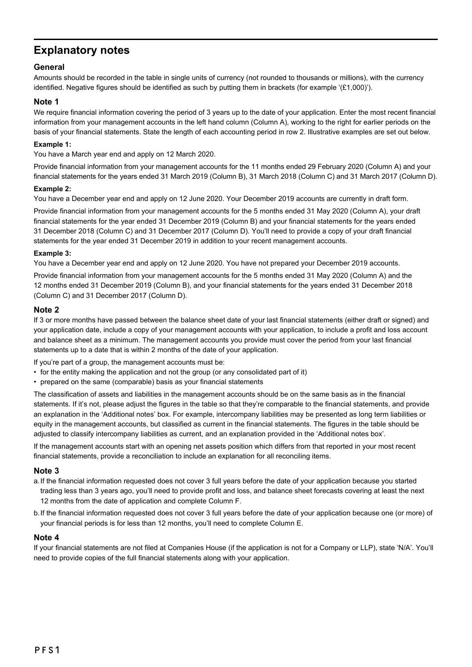## **Explanatory notes**

### **General**

Amounts should be recorded in the table in single units of currency (not rounded to thousands or millions), with the currency identified. Negative figures should be identified as such by putting them in brackets (for example '(£1,000)').

#### **Note 1**

We require financial information covering the period of 3 years up to the date of your application. Enter the most recent financial information from your management accounts in the left hand column (Column A), working to the right for earlier periods on the basis of your financial statements. State the length of each accounting period in row 2. Illustrative examples are set out below.

#### **Example 1:**

You have a March year end and apply on 12 March 2020.

Provide financial information from your management accounts for the 11 months ended 29 February 2020 (Column A) and your financial statements for the years ended 31 March 2019 (Column B), 31 March 2018 (Column C) and 31 March 2017 (Column D).

#### **Example 2:**

You have a December year end and apply on 12 June 2020. Your December 2019 accounts are currently in draft form.

Provide financial information from your management accounts for the 5 months ended 31 May 2020 (Column A), your draft financial statements for the year ended 31 December 2019 (Column B) and your financial statements for the years ended 31 December 2018 (Column C) and 31 December 2017 (Column D). You'll need to provide a copy of your draft financial statements for the year ended 31 December 2019 in addition to your recent management accounts.

#### **Example 3:**

You have a December year end and apply on 12 June 2020. You have not prepared your December 2019 accounts.

Provide financial information from your management accounts for the 5 months ended 31 May 2020 (Column A) and the 12 months ended 31 December 2019 (Column B), and your financial statements for the years ended 31 December 2018 (Column C) and 31 December 2017 (Column D).

#### **Note 2**

If 3 or more months have passed between the balance sheet date of your last financial statements (either draft or signed) and your application date, include a copy of your management accounts with your application, to include a profit and loss account and balance sheet as a minimum. The management accounts you provide must cover the period from your last financial statements up to a date that is within 2 months of the date of your application.

If you're part of a group, the management accounts must be:

- for the entity making the application and not the group (or any consolidated part of it)
- prepared on the same (comparable) basis as your financial statements

The classification of assets and liabilities in the management accounts should be on the same basis as in the financial statements. If it's not, please adjust the figures in the table so that they're comparable to the financial statements, and provide an explanation in the 'Additional notes' box. For example, intercompany liabilities may be presented as long term liabilities or equity in the management accounts, but classified as current in the financial statements. The figures in the table should be adjusted to classify intercompany liabilities as current, and an explanation provided in the 'Additional notes box'.

If the management accounts start with an opening net assets position which differs from that reported in your most recent financial statements, provide a reconciliation to include an explanation for all reconciling items.

#### **Note 3**

- a.If the financial information requested does not cover 3 full years before the date of your application because you started trading less than 3 years ago, you'll need to provide profit and loss, and balance sheet forecasts covering at least the next 12 months from the date of application and complete Column F.
- b.If the financial information requested does not cover 3 full years before the date of your application because one (or more) of your financial periods is for less than 12 months, you'll need to complete Column E.

#### **Note 4**

If your financial statements are not filed at Companies House (if the application is not for a Company or LLP), state 'N/A'. You'll need to provide copies of the full financial statements along with your application.